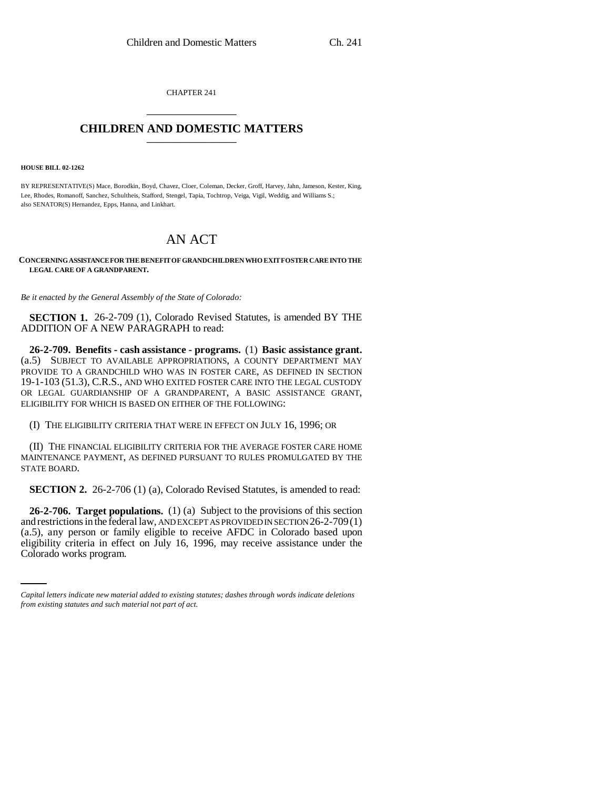CHAPTER 241 \_\_\_\_\_\_\_\_\_\_\_\_\_\_\_

## **CHILDREN AND DOMESTIC MATTERS** \_\_\_\_\_\_\_\_\_\_\_\_\_\_\_

**HOUSE BILL 02-1262**

BY REPRESENTATIVE(S) Mace, Borodkin, Boyd, Chavez, Cloer, Coleman, Decker, Groff, Harvey, Jahn, Jameson, Kester, King, Lee, Rhodes, Romanoff, Sanchez, Schultheis, Stafford, Stengel, Tapia, Tochtrop, Veiga, Vigil, Weddig, and Williams S.; also SENATOR(S) Hernandez, Epps, Hanna, and Linkhart.

## AN ACT

**CONCERNING ASSISTANCE FOR THE BENEFIT OF GRANDCHILDREN WHO EXIT FOSTER CARE INTO THE LEGAL CARE OF A GRANDPARENT.**

*Be it enacted by the General Assembly of the State of Colorado:*

**SECTION 1.** 26-2-709 (1), Colorado Revised Statutes, is amended BY THE ADDITION OF A NEW PARAGRAPH to read:

**26-2-709. Benefits - cash assistance - programs.** (1) **Basic assistance grant.** (a.5) SUBJECT TO AVAILABLE APPROPRIATIONS, A COUNTY DEPARTMENT MAY PROVIDE TO A GRANDCHILD WHO WAS IN FOSTER CARE, AS DEFINED IN SECTION 19-1-103 (51.3), C.R.S., AND WHO EXITED FOSTER CARE INTO THE LEGAL CUSTODY OR LEGAL GUARDIANSHIP OF A GRANDPARENT, A BASIC ASSISTANCE GRANT, ELIGIBILITY FOR WHICH IS BASED ON EITHER OF THE FOLLOWING:

(I) THE ELIGIBILITY CRITERIA THAT WERE IN EFFECT ON JULY 16, 1996; OR

(II) THE FINANCIAL ELIGIBILITY CRITERIA FOR THE AVERAGE FOSTER CARE HOME MAINTENANCE PAYMENT, AS DEFINED PURSUANT TO RULES PROMULGATED BY THE STATE BOARD.

**SECTION 2.** 26-2-706 (1) (a), Colorado Revised Statutes, is amended to read:

(a.5), any person or family eligible to receive AFDC in Colorado based upon **26-2-706. Target populations.** (1) (a) Subject to the provisions of this section and restrictions in the federal law, AND EXCEPT AS PROVIDED IN SECTION 26-2-709(1) eligibility criteria in effect on July 16, 1996, may receive assistance under the Colorado works program.

*Capital letters indicate new material added to existing statutes; dashes through words indicate deletions from existing statutes and such material not part of act.*